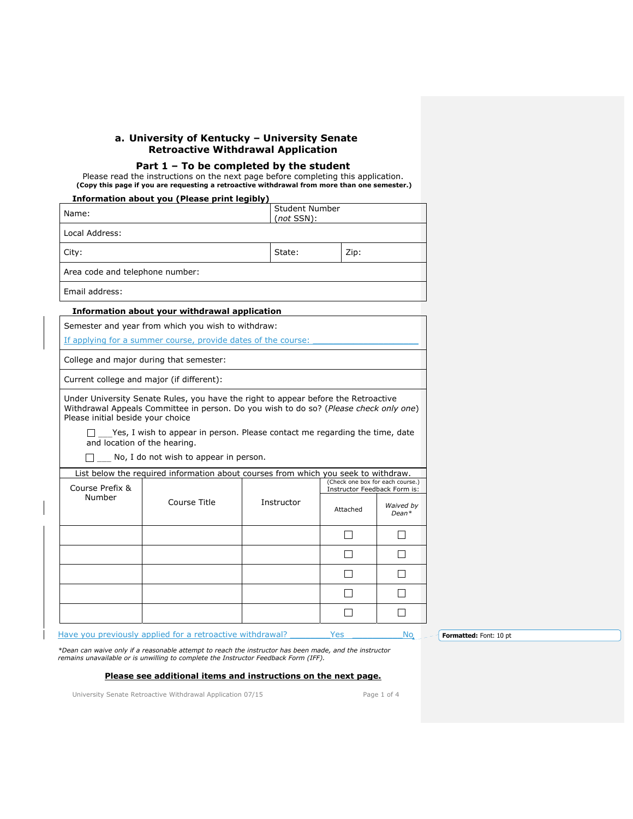## **a. University of Kentucky – University Senate Retroactive Withdrawal Application**

### **Part 1 – To be completed by the student**

Please read the instructions on the next page before completing this application. **(Copy this page if you are requesting a retroactive withdrawal from more than one semester.)** 

|                                                                   | Information about you (Please print legibly)                                                                                                                                                                                                               |                                    |                                                                  |                      |  |
|-------------------------------------------------------------------|------------------------------------------------------------------------------------------------------------------------------------------------------------------------------------------------------------------------------------------------------------|------------------------------------|------------------------------------------------------------------|----------------------|--|
| Name:                                                             |                                                                                                                                                                                                                                                            | Student Number<br>$(not$ SSN $)$ : |                                                                  |                      |  |
| Local Address:                                                    |                                                                                                                                                                                                                                                            |                                    |                                                                  |                      |  |
| City:                                                             |                                                                                                                                                                                                                                                            | State:                             | Zip:                                                             |                      |  |
| Area code and telephone number:                                   |                                                                                                                                                                                                                                                            |                                    |                                                                  |                      |  |
| Email address:                                                    |                                                                                                                                                                                                                                                            |                                    |                                                                  |                      |  |
|                                                                   | Information about your withdrawal application                                                                                                                                                                                                              |                                    |                                                                  |                      |  |
|                                                                   | Semester and year from which you wish to withdraw:                                                                                                                                                                                                         |                                    |                                                                  |                      |  |
|                                                                   | If applying for a summer course, provide dates of the course:                                                                                                                                                                                              |                                    |                                                                  |                      |  |
|                                                                   | College and major during that semester:                                                                                                                                                                                                                    |                                    |                                                                  |                      |  |
|                                                                   | Current college and major (if different):                                                                                                                                                                                                                  |                                    |                                                                  |                      |  |
| Please initial beside your choice<br>and location of the hearing. | Under University Senate Rules, you have the right to appear before the Retroactive<br>Withdrawal Appeals Committee in person. Do you wish to do so? (Please check only one)<br>Yes, I wish to appear in person. Please contact me regarding the time, date |                                    |                                                                  |                      |  |
|                                                                   | No, I do not wish to appear in person.                                                                                                                                                                                                                     |                                    |                                                                  |                      |  |
|                                                                   | List below the required information about courses from which you seek to withdraw.                                                                                                                                                                         |                                    |                                                                  |                      |  |
| Course Prefix &                                                   |                                                                                                                                                                                                                                                            |                                    | (Check one box for each course.)<br>Instructor Feedback Form is: |                      |  |
| Number                                                            | Course Title                                                                                                                                                                                                                                               | Instructor                         | Attached                                                         | Waived by<br>$Dean*$ |  |
|                                                                   |                                                                                                                                                                                                                                                            |                                    |                                                                  |                      |  |
|                                                                   |                                                                                                                                                                                                                                                            |                                    |                                                                  |                      |  |
|                                                                   |                                                                                                                                                                                                                                                            |                                    |                                                                  |                      |  |
|                                                                   |                                                                                                                                                                                                                                                            |                                    |                                                                  |                      |  |
|                                                                   |                                                                                                                                                                                                                                                            |                                    |                                                                  |                      |  |

Have you previously applied for a retroactive withdrawal? \_\_\_\_\_\_\_\_\_Yes \_\_\_\_\_\_\_\_\_\_ No

**Formatted:** Font: 10 pt

*\*Dean can waive only if a reasonable attempt to reach the instructor has been made, and the instructor remains unavailable or is unwilling to complete the Instructor Feedback Form (IFF).* 

### **Please see additional items and instructions on the next page.**

University Senate Retroactive Withdrawal Application 07/15 Page 1 of 4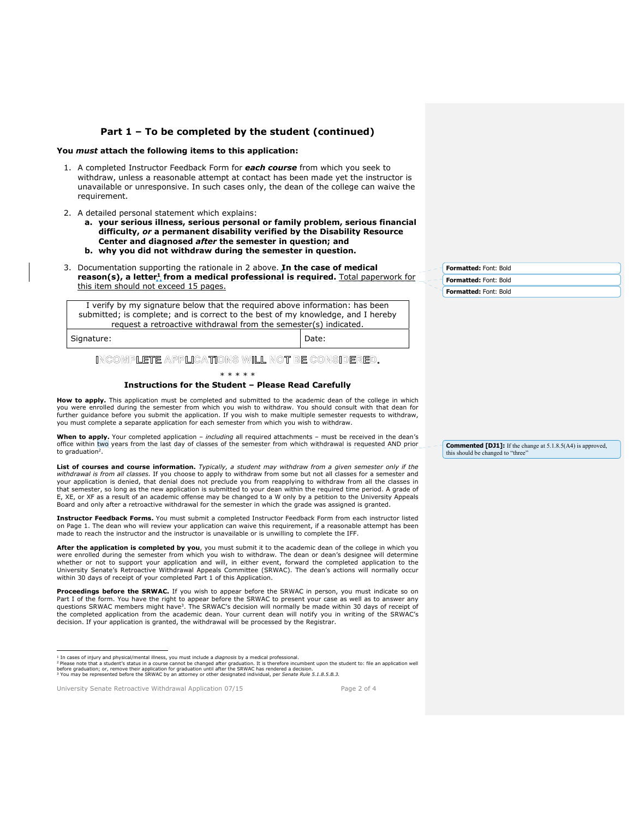### **Part 1 – To be completed by the student (continued)**

#### **You** *must* **attach the following items to this application:**

- 1. A completed Instructor Feedback Form for *each course* from which you seek to withdraw, unless a reasonable attempt at contact has been made yet the instructor is unavailable or unresponsive. In such cases only, the dean of the college can waive the requirement.
- 2. A detailed personal statement which explains:
	- **a. your serious illness, serious personal or family problem, serious financial difficulty,** *or* **a permanent disability verified by the Disability Resource Center and diagnosed** *after* **the semester in question; and**
	- **b. why you did not withdraw during the semester in question.**
- 3. Documentation supporting the rationale in 2 above. **In the case of medical reason(s), a letter1 from a medical professional is required.** Total paperwork for this item should not exceed 15 pages.

I verify by my signature below that the required above information: has been submitted; is complete; and is correct to the best of my knowledge, and I hereby request a retroactive withdrawal from the semester(s) indicated.

Signature: Note: Note: Note: Note: Note: Note: Note: Note: Note: Note: Note: Note: Note: Note: Note: Note: Note: Note: Note: Note: Note: Note: Note: Note: Note: Note: Note: Note: Note: Note: Note: Note: Note: Note: Note: N

 $\overline{a}$ 

### INCOMPLETE APPLICATIONS WILL NOT BE CONSIDERED.

\* \* \* \* \*

#### **Instructions for the Student – Please Read Carefully**

**How to apply.** This application must be completed and submitted to the academic dean of the college in which you were enrolled during the semester from which you wish to withdraw. You should consult with that dean for further guidance before you submit the application. If you wish to make multiple semester requests to withdraw, you must complete a separate application for each semester from which you wish to withdraw.

**When to apply.** Your completed application – *including* all required attachments – must be received in the dean's office within two years from the last day of classes of the semester from which withdrawal is requested AND prior to graduation<sup>2</sup>

**List of courses and course information.** *Typically, a student may withdraw from a given semester only if the withdrawal is from all classes.* If you choose to apply to withdraw from some but not all classes for a semester and your application is denied, that denial does not preclude you from reapplying to withdraw from all the classes in<br>that semester, so long as the new application is submitted to your dean within the required time period. A g E, XE, or XF as a result of an academic offense may be changed to a W only by a petition to the University Appeals Board and only after a retroactive withdrawal for the semester in which the grade was assigned is granted.

**Instructor Feedback Forms.** You must submit a completed Instructor Feedback Form from each instructor listed on Page 1. The dean who will review your application can waive this requirement, if a reasonable attempt has been made to reach the instructor and the instructor is unavailable or is unwilling to complete the IFF.

**After the application is completed by you**, you must submit it to the academic dean of the college in which you were enrolled during the semester from which you wish to withdraw. The dean or dean's designee will determine whether or not to support your application and will, in either event, forward the completed application to the University Senate's Retroactive Withdrawal Appeals Committee (SRWAC). The dean's actions will normally occur within 30 days of receipt of your completed Part 1 of this Application.

**Proceedings before the SRWAC.** If you wish to appear before the SRWAC in person, you must indicate so on Part I of the form. You have the right to appear before the SRWAC to present your case as well as to answer any<br>questions SRWAC members might have<sup>3</sup>. The SRWAC's decision will normally be made within 30 days of receipt of the completed application from the academic dean. Your current dean will notify you in writing of the SRWAC's decision. If your application is granted, the withdrawal will be processed by the Registrar.

University Senate Retroactive Withdrawal Application 07/15 Page 2 of 4

**Formatted:** Font: Bold **Formatted:** Font: Bold **Formatted:** Font: Bold

**Commented [DJ1]:** If the change at 5.1.8.5(A4) is approved, this should be changed to "three"

<sup>&</sup>lt;sup>1</sup> In cases of injury and physical/mental illness, you must include a *diagnosis* by a medical professional.<br><sup>2</sup> Please note that a student's status in a course cannot be changed after graduation. It is therefore incumben

before graduation; or, remove their application for graduation until after the SRWAC has rendered a decision.<br><sup>3</sup> You may be represented before the SRWAC by an attorney or other designated individual, per *Senate Rule 5.1.*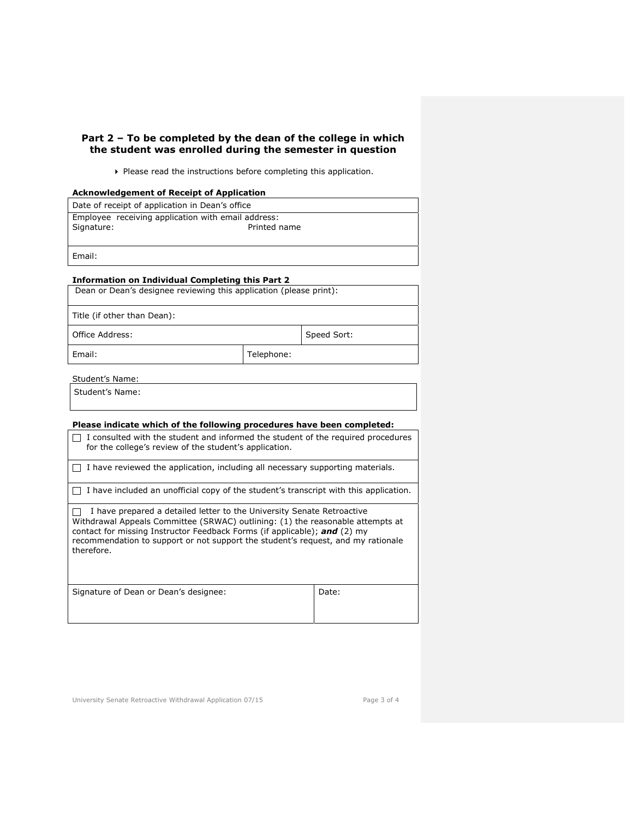## **Part 2 – To be completed by the dean of the college in which the student was enrolled during the semester in question**

Please read the instructions before completing this application.

### **Acknowledgement of Receipt of Application**

| Date of receipt of application in Dean's office    |              |  |  |
|----------------------------------------------------|--------------|--|--|
| Employee receiving application with email address: |              |  |  |
| Signature:                                         | Printed name |  |  |
|                                                    |              |  |  |
| Email:                                             |              |  |  |

### **Information on Individual Completing this Part 2**

Dean or Dean's designee reviewing this application (please print):

Title (if other than Dean):

Office Address: Speed Sort:

Email: Telephone:

Student's Name:

Student's Name:

# **Please indicate which of the following procedures have been completed:**

| I consulted with the student and informed the student of the required procedures<br>for the college's review of the student's application.                                                                                                                                                                                              |       |
|-----------------------------------------------------------------------------------------------------------------------------------------------------------------------------------------------------------------------------------------------------------------------------------------------------------------------------------------|-------|
| I have reviewed the application, including all necessary supporting materials.                                                                                                                                                                                                                                                          |       |
| I have included an unofficial copy of the student's transcript with this application.                                                                                                                                                                                                                                                   |       |
| I have prepared a detailed letter to the University Senate Retroactive<br>Withdrawal Appeals Committee (SRWAC) outlining: (1) the reasonable attempts at<br>contact for missing Instructor Feedback Forms (if applicable); and (2) my<br>recommendation to support or not support the student's request, and my rationale<br>therefore. |       |
| Signature of Dean or Dean's designee:                                                                                                                                                                                                                                                                                                   | Date: |